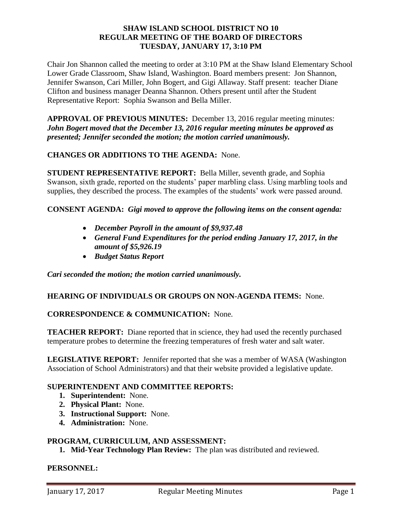#### **SHAW ISLAND SCHOOL DISTRICT NO 10 REGULAR MEETING OF THE BOARD OF DIRECTORS TUESDAY, JANUARY 17, 3:10 PM**

Chair Jon Shannon called the meeting to order at 3:10 PM at the Shaw Island Elementary School Lower Grade Classroom, Shaw Island, Washington. Board members present: Jon Shannon, Jennifer Swanson, Cari Miller, John Bogert, and Gigi Allaway. Staff present: teacher Diane Clifton and business manager Deanna Shannon. Others present until after the Student Representative Report: Sophia Swanson and Bella Miller.

**APPROVAL OF PREVIOUS MINUTES:** December 13, 2016 regular meeting minutes: *John Bogert moved that the December 13, 2016 regular meeting minutes be approved as presented; Jennifer seconded the motion; the motion carried unanimously.*

# **CHANGES OR ADDITIONS TO THE AGENDA:** None.

**STUDENT REPRESENTATIVE REPORT:** Bella Miller, seventh grade, and Sophia Swanson, sixth grade, reported on the students' paper marbling class. Using marbling tools and supplies, they described the process. The examples of the students' work were passed around.

### **CONSENT AGENDA:** *Gigi moved to approve the following items on the consent agenda:*

- *December Payroll in the amount of \$9,937.48*
- *General Fund Expenditures for the period ending January 17, 2017, in the amount of \$5,926.19*
- *Budget Status Report*

*Cari seconded the motion; the motion carried unanimously.* 

### **HEARING OF INDIVIDUALS OR GROUPS ON NON-AGENDA ITEMS:** None.

### **CORRESPONDENCE & COMMUNICATION:** None.

**TEACHER REPORT:** Diane reported that in science, they had used the recently purchased temperature probes to determine the freezing temperatures of fresh water and salt water.

**LEGISLATIVE REPORT:** Jennifer reported that she was a member of WASA (Washington Association of School Administrators) and that their website provided a legislative update.

### **SUPERINTENDENT AND COMMITTEE REPORTS:**

- **1. Superintendent:** None.
- **2. Physical Plant:** None.
- **3. Instructional Support:** None.
- **4. Administration:** None.

### **PROGRAM, CURRICULUM, AND ASSESSMENT:**

**1. Mid-Year Technology Plan Review:** The plan was distributed and reviewed.

#### **PERSONNEL:**